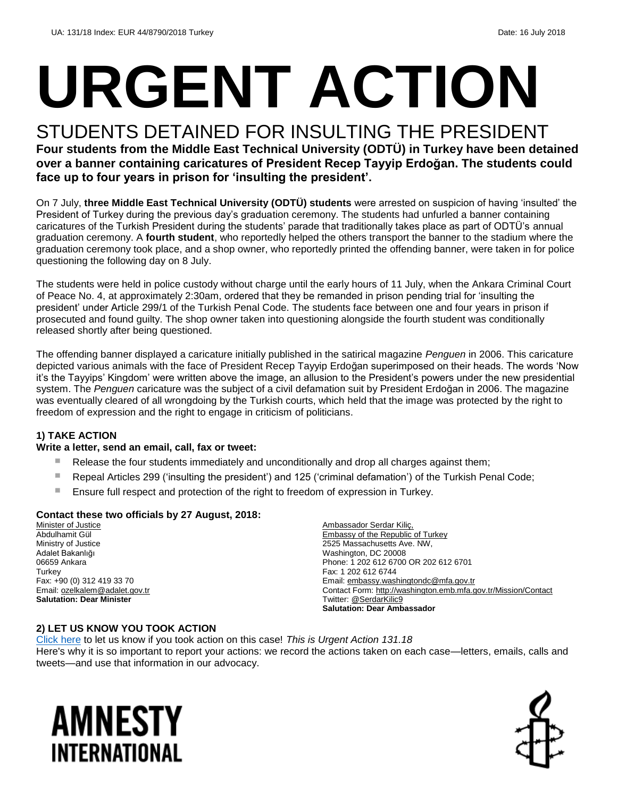# **URGENT ACTION**

#### STUDENTS DETAINED FOR INSULTING THE PRESIDENT **Four students from the Middle East Technical University (ODTÜ) in Turkey have been detained over a banner containing caricatures of President Recep Tayyip Erdoğan. The students could**

**face up to four years in prison for 'insulting the president'.**

On 7 July, **three Middle East Technical University (ODTÜ) students** were arrested on suspicion of having 'insulted' the President of Turkey during the previous day's graduation ceremony. The students had unfurled a banner containing caricatures of the Turkish President during the students' parade that traditionally takes place as part of ODTÜ's annual graduation ceremony. A **fourth student**, who reportedly helped the others transport the banner to the stadium where the graduation ceremony took place, and a shop owner, who reportedly printed the offending banner, were taken in for police questioning the following day on 8 July.

The students were held in police custody without charge until the early hours of 11 July, when the Ankara Criminal Court of Peace No. 4, at approximately 2:30am, ordered that they be remanded in prison pending trial for 'insulting the president' under Article 299/1 of the Turkish Penal Code. The students face between one and four years in prison if prosecuted and found guilty. The shop owner taken into questioning alongside the fourth student was conditionally released shortly after being questioned.

The offending banner displayed a caricature initially published in the satirical magazine *Penguen* in 2006. This caricature depicted various animals with the face of President Recep Tayyip Erdoğan superimposed on their heads. The words 'Now it's the Tayyips' Kingdom' were written above the image, an allusion to the President's powers under the new presidential system. The *Penguen* caricature was the subject of a civil defamation suit by President Erdoğan in 2006. The magazine was eventually cleared of all wrongdoing by the Turkish courts, which held that the image was protected by the right to freedom of expression and the right to engage in criticism of politicians.

#### **1) TAKE ACTION**

#### **Write a letter, send an email, call, fax or tweet:**

- Release the four students immediately and unconditionally and drop all charges against them;
- Repeal Articles 299 ('insulting the president') and 125 ('criminal defamation') of the Turkish Penal Code;
- Ensure full respect and protection of the right to freedom of expression in Turkey.

#### **Contact these two officials by 27 August, 2018:**

**Minister of Justice** Abdulhamit Gül Ministry of Justice Adalet Bakanlığı 06659 Ankara **Turkey** Fax: +90 (0) 312 419 33 70 Email[: ozelkalem@adalet.gov.tr](mailto:ozelkalem@adalet.gov.tr) **Salutation: Dear Minister**

Ambassador Serdar Kiliç, Embassy of the Republic of Turkey 2525 Massachusetts Ave. NW, Washington, DC 20008 Phone: 1 202 612 6700 OR 202 612 6701 Fax: 1 202 612 6744 Email[: embassy.washingtondc@mfa.gov.tr](mailto:embassy.washingtondc@mfa.gov.tr) Contact Form:<http://washington.emb.mfa.gov.tr/Mission/Contact> Twitter[: @SerdarKilic9](https://twitter.com/serdarkilic9?lang=en) **Salutation: Dear Ambassador**

#### **2) LET US KNOW YOU TOOK ACTION**

[Click here](https://www.amnestyusa.org/report-urgent-actions/) to let us know if you took action on this case! *This is Urgent Action 131.18* Here's why it is so important to report your actions: we record the actions taken on each case—letters, emails, calls and tweets—and use that information in our advocacy.